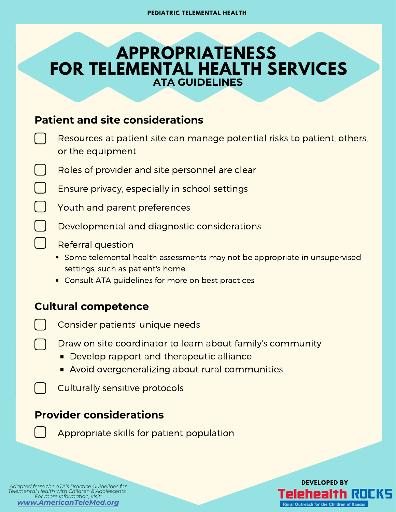# **APPROPRIATENESS FOR TELEMENTAL HEALTH SERVICES ATA GUIDELINES**

#### **Patient and site considerations**

| Resources at patient site can manage potential risks to patient, others,<br>or the equipment |
|----------------------------------------------------------------------------------------------|
| Roles of provider and site personnel are clear                                               |
| Ensure privacy, especially in school settings                                                |
| Youth and parent preferences                                                                 |
| Developmental and diagnostic considerations                                                  |
| <b>Referral question</b>                                                                     |
| ■ Some telemental health assessments may not be appropriate in unsupervised                  |

- settings, such as patient's home
- Consult ATA guidelines for more on best practices

#### **Cultural competence**

- Consider patients' unique needs
- Draw on site coordinator to learn about family's community
	- Develop rapport and therapeutic alliance
	- **Avoid overgeneralizing about rural communities**
- Culturally sensitive protocols

### **Provider considerations**

Appropriate skills for patient population

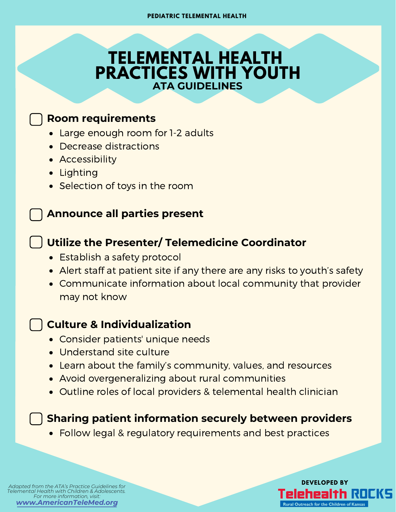# **TELEMENTAL HEALTH PRACTICES WITH YOUTH ATA GUIDELINES**

#### **Room requirements**

- Large enough room for 1-2 adults
- Decrease distractions
- Accessibility
- Lighting
- Selection of toys in the room

### **Announce all parties present**

## **Utilize the Presenter/ Telemedicine Coordinator**

- Establish a safety protocol
- Alert staff at patient site if any there are any risks to youth's safety
- Communicate information about local community that provider may not know

### **Culture & Individualization**

- Consider patients' unique needs
- Understand site culture
- Learn about the family's community, values, and resources
- Avoid overgeneralizing about rural communities
- Outline roles of local providers & telemental health clinician

### **Sharing patient information securely between providers**

Follow legal & regulatory requirements and best practices

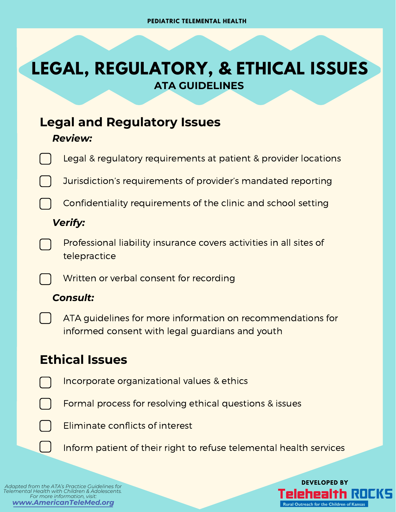# **LEGAL, REGULATORY, & ETHICAL ISSUES ATA GUIDELINES**

# **Legal and Regulatory Issues**

#### *Review:*

|                                                                       |  | Legal & regulatory requirements at patient & provider locations                                               |  |  |
|-----------------------------------------------------------------------|--|---------------------------------------------------------------------------------------------------------------|--|--|
|                                                                       |  | Jurisdiction's requirements of provider's mandated reporting                                                  |  |  |
|                                                                       |  | Confidentiality requirements of the clinic and school setting                                                 |  |  |
|                                                                       |  | <b>Verify:</b>                                                                                                |  |  |
|                                                                       |  | Professional liability insurance covers activities in all sites of<br>telepractice                            |  |  |
|                                                                       |  | Written or verbal consent for recording                                                                       |  |  |
|                                                                       |  | <b>Consult:</b>                                                                                               |  |  |
|                                                                       |  | ATA guidelines for more information on recommendations for<br>informed consent with legal guardians and youth |  |  |
|                                                                       |  | <b>Ethical Issues</b>                                                                                         |  |  |
|                                                                       |  | Incorporate organizational values & ethics                                                                    |  |  |
|                                                                       |  | Formal process for resolving ethical questions & issues                                                       |  |  |
|                                                                       |  | Eliminate conflicts of interest                                                                               |  |  |
|                                                                       |  | Inform patient of their right to refuse telemental health services                                            |  |  |
|                                                                       |  |                                                                                                               |  |  |
| <b>DEVELOPED BY</b><br>Adapted from the ATA's Practice Guidelines for |  |                                                                                                               |  |  |

*Telemental Health with Children & [Adolescents.](http://www.americantelemed.org/) For more information, visit: [www.AmericanTeleMed.org](http://www.americantelemed.org/)*

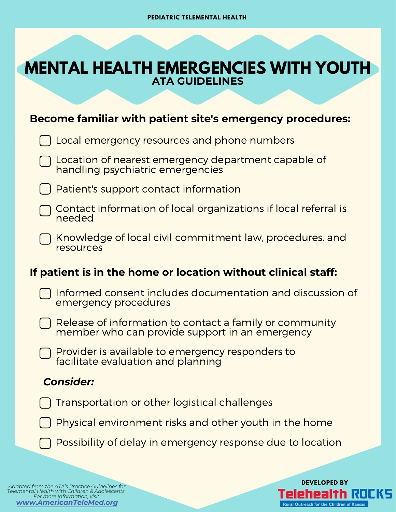# **ATA GUIDELINES MENTAL HEALTH EMERGENCIES WITH YOUTH**

#### **Become familiar with patient site's emergency procedures:**

| Become familiar with patient site's emergency procedures:     |                                                                                                           |  |  |
|---------------------------------------------------------------|-----------------------------------------------------------------------------------------------------------|--|--|
|                                                               | Local emergency resources and phone numbers                                                               |  |  |
|                                                               | Location of nearest emergency department capable of<br>handling psychiatric emergencies                   |  |  |
|                                                               | Patient's support contact information                                                                     |  |  |
|                                                               | Contact information of local organizations if local referral is<br>needed                                 |  |  |
|                                                               | Knowledge of local civil commitment law, procedures, and<br>resources                                     |  |  |
| If patient is in the home or location without clinical staff: |                                                                                                           |  |  |
|                                                               | Informed consent includes documentation and discussion of<br>emergency procedures                         |  |  |
|                                                               | Release of information to contact a family or community<br>member who can provide support in an emergency |  |  |
|                                                               | Provider is available to emergency responders to<br>facilitate evaluation and planning                    |  |  |
|                                                               | <b>Consider:</b>                                                                                          |  |  |
|                                                               | <b>Transportation or other logistical challenges</b>                                                      |  |  |
|                                                               | Physical environment risks and other youth in the home                                                    |  |  |

Possibility of delay in emergency response due to location

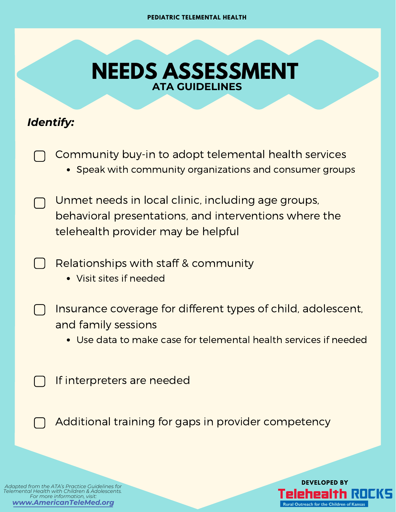# **ATA GUIDELINES NEEDS ASSESSMENT**

## *Identify:*

Community buy-in to adopt telemental health services Speak with community organizations and consumer groups

Unmet needs in local clinic, including age groups, behavioral presentations, and interventions where the telehealth provider may be helpful

- Relationships with staff & community
	- Visit sites if needed

Insurance coverage for different types of child, adolescent, and family sessions

Use data to make case for telemental health services if needed

If interpreters are needed

Additional training for gaps in provider competency

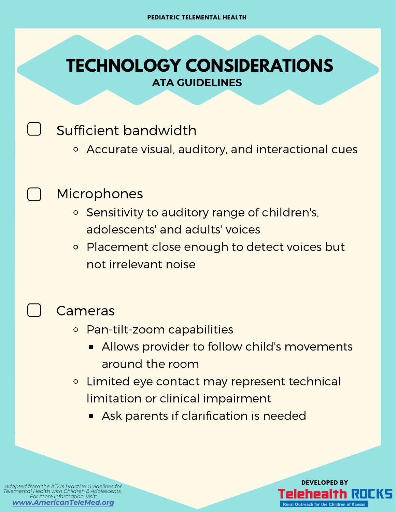# **ATA GUIDELINES TECHNOLOGY CONSIDERATIONS**

Sufficient bandwidth

Accurate visual, auditory, and interactional cues

# **Microphones**

- o Sensitivity to auditory range of children's, adolescents' and adults' voices
- Placement close enough to detect voices but  $\circ$ not irrelevant noise

## Cameras

- Pan-tilt-zoom capabilities
	- Allows provider to follow child's movements around the room
- Limited eye contact may represent technical  $\circ$ limitation or clinical impairment
	- **Ask parents if clarification is needed**